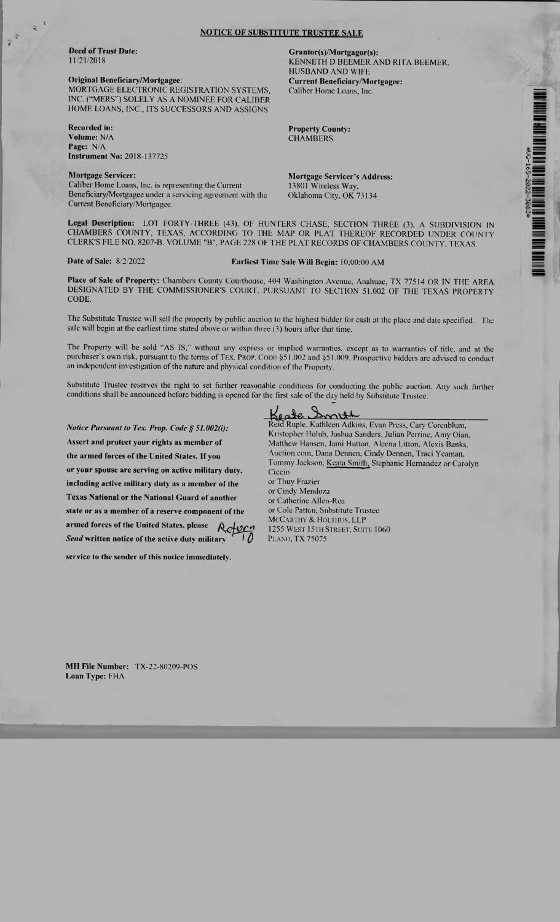#### NOTICE OF SUBSTITUTE TRUSTEE SALE

## Deed of Trust Date: 11/21/2018

# Original Beneficiary/Mortgagee:

MORTGAGE ELECTRONIC REGISTRATION SYSTEMS, INC. ("MERS") SOLELY AS A NOMINEE FOR CALIBER HOME LOANS, INC., ITS SUCCESSORS AND ASSIGNS

Recorded in: Volume: N/A Page: N/A Instrument No: 2018-137725

## Mortgage Servicer:

Caliber Home Loans, Inc. is representing the Current Beneficiary/Mortgagee under a servicing agreement with the Current Beneficiary/Mortgagee.

Grantor(s)/Mortgagor(s):

KENNETH D BEEMER AND RITA BEEMER, HUSBAND AND WIFE Current Beneficiary/Mortgagee: Caliber Home Loans, Inc.

Property County: **CHAMBERS** 

Mortgage Servicer's Address: 13801 Wireless Way. Oklahoma City, OK 73134

Legal Description: LOT FORTY-THREE (43), OF HUNTERS CHASE, SECTION THREE (3), A SUBDIVISION IN CHAMBERS COUNTY, TEXAS, ACCORDING TO THE MAP OR PLAT THEREOF RECORDED UNDER COUNTY CLERK'S FILE NO. 8207-B, VOLUME "B", PAGE 228 OF THE PLAT RECORDS OF CHAMBERS COUNTY, TEXAS.

## Date of Sale: 8/2/2022 Earliest Time Sale Will Begin: 10:00:00 AM

Place of Sale of Property: Chambers County Courthouse, 404 Washington Avenue, Anahuac, TX 77514 OR IN THE AREA DESIGNATED BY THE COMMISSIONER'S COURT, PURSUANT TO SECTION 51.002 OF THE TEXAS PROPERTY CODE.

The Substitute Trustee will sell the property by public auction to the highest bidder for cash at the place and date specified. The sale will begin at the earliest time stated above or within three (3) hours after that time.

The Property will be sold "AS IS," without any express or implied warranties, except as to warranties of title, and at the purchaser's own risk, pursuant to the terms of TEX. PROP. CODE §5 I .002 and §51.009. Prospective bidders are advised to conduct an independent investigation of the nature and physical condition of the Property.

Substitute Trustee reserves the right to set further reasonable conditions for conducting the public auction. Any such further conditions shall be announced before bidding is opened for the first sale of the day held by Substitute Trustee.

 $M$ 

Notice Pursuant to Tex. Prop. Code § 51.002(i): Assert and protect your rights as member of the armed forces of the United States. If you or your spouse are serving on active military duty, including active military duty as a member of the Texas National or the National Guard of another state or as a member of a reserve component of the armed forces of the United States, please  $R_{c}$ 

Send written notice of the active duty military

service to the sender of this notice immediately.

Reid Ruple, Kathleen Adkins, Evan Press, Cary Corenblum, Kristopher Holub, Joshua Sanders, Julian Perrine. Amy Oian, Matthew Hansen, Jami Hutton, A leena Litton, Alexis Banks, Auction.com, Dana Dennen, Cindy Dennen, Traci Yeaman, Tommy Jackson, Keata Smith, Stephanie Hernandez or Carolyn Ciccio or Thuy Frazier

or Cindy Mendoza or Catherine Allen-Rea or Cole Patton, Substitute Trustee MCCARTHY & HOLTHUS, LLP 1255 WEST 15TH STREET, SUITE 1060 PLANO, TX 75075

MH File Number: TX-22-80209-POS Loan Type: FHA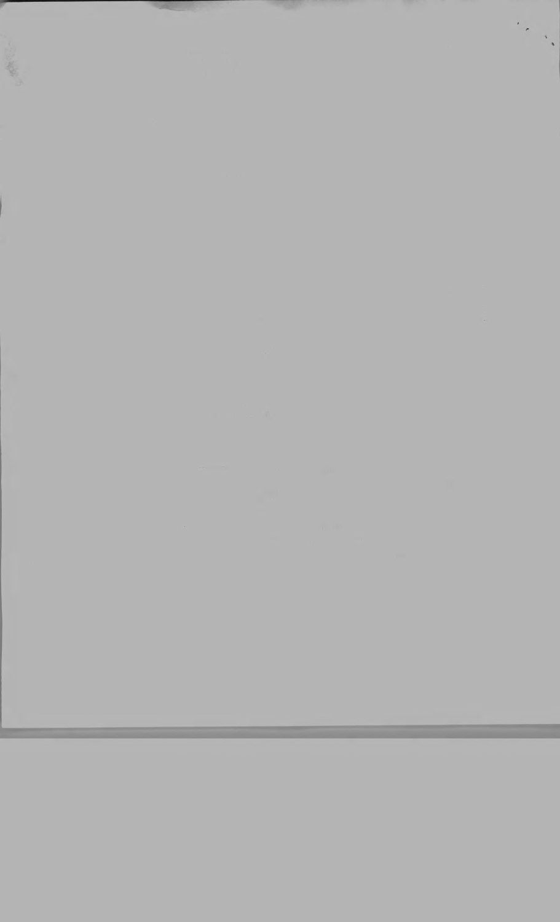一般的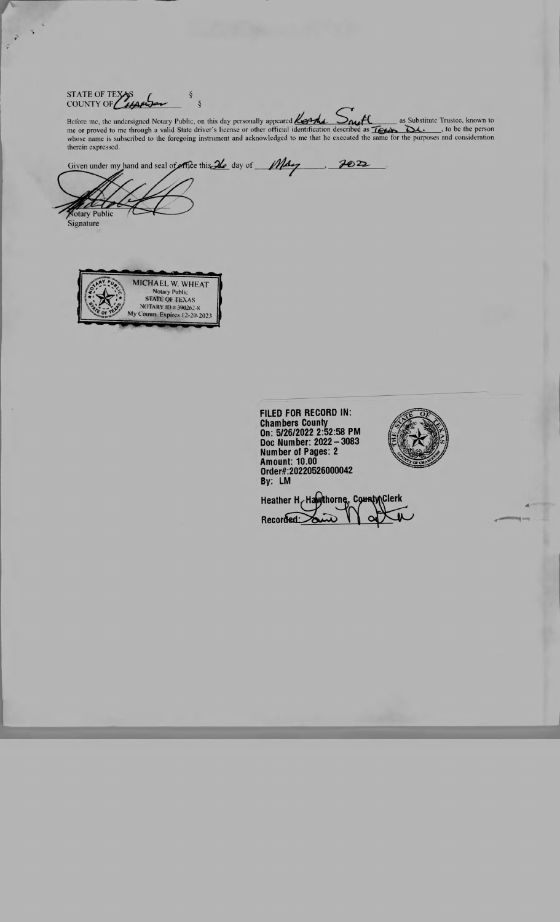STATE OF TEXAS

Before me, the undersigned Notary Public, on this day personally appeared **Kerry 11** Solution described as Texas as Substitute Trustee, known to me or proved to me through a valid State driver's license or other official i therein expressed.

 $2022$ 

 $\overline{\phantom{a}}$ 

Given under my hand and seal of office this 26 day of May

ş  $\hat{\mathbf{S}}$ 

otary Public

Signature



FILED FOR RECORD IN:<br>Chambers County<br>On: 5/26/2022 2:52:58 PM<br>Doc Number: 2022 – 3083<br>Number of Pages: 2<br>Amount: 10.00<br>Order#:20220526000042<br>By: LM



Heather H Hawthorne, County Clerk Recorded: